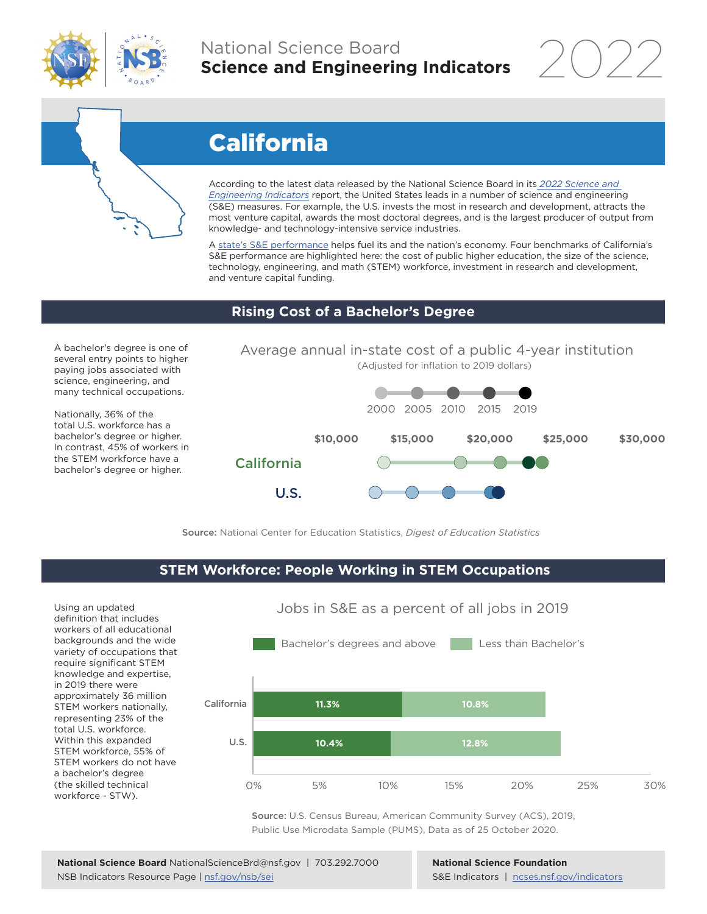

# National Science Board **Science and Engineering Indicators**



# California

According to the latest data released by the National Science Board in its *[2022 Science and](https://www.ncses.nsf.gov/indicators)  [Engineering Indicators](https://www.ncses.nsf.gov/indicators)* report, the United States leads in a number of science and engineering (S&E) measures. For example, the U.S. invests the most in research and development, attracts the most venture capital, awards the most doctoral degrees, and is the largest producer of output from knowledge- and technology-intensive service industries.

A [state's S&E performance](https://ncses.nsf.gov/indicators/states/) helps fuel its and the nation's economy. Four benchmarks of California's S&E performance are highlighted here: the cost of public higher education, the size of the science, technology, engineering, and math (STEM) workforce, investment in research and development, and venture capital funding.

## **Rising Cost of a Bachelor's Degree**

A bachelor's degree is one of several entry points to higher paying jobs associated with science, engineering, and many technical occupations.

Nationally, 36% of the total U.S. workforce has a bachelor's degree or higher. In contrast, 45% of workers in the STEM workforce have a bachelor's degree or higher.



Source: National Center for Education Statistics, *Digest of Education Statistics*

#### **STEM Workforce: People Working in STEM Occupations**

U.S.

Using an updated definition that includes workers of all educational backgrounds and the wide variety of occupations that require significant STEM knowledge and expertise, in 2019 there were approximately 36 million STEM workers nationally, representing 23% of the total U.S. workforce. Within this expanded STEM workforce, 55% of STEM workers do not have a bachelor's degree (the skilled technical workforce - STW).



Source: U.S. Census Bureau, American Community Survey (ACS), 2019, Public Use Microdata Sample (PUMS), Data as of 25 October 2020.

**National Science Foundation** S&E Indicators | [ncses.nsf.gov/indicators](https://www.ncses.nsf.gov/indicators)